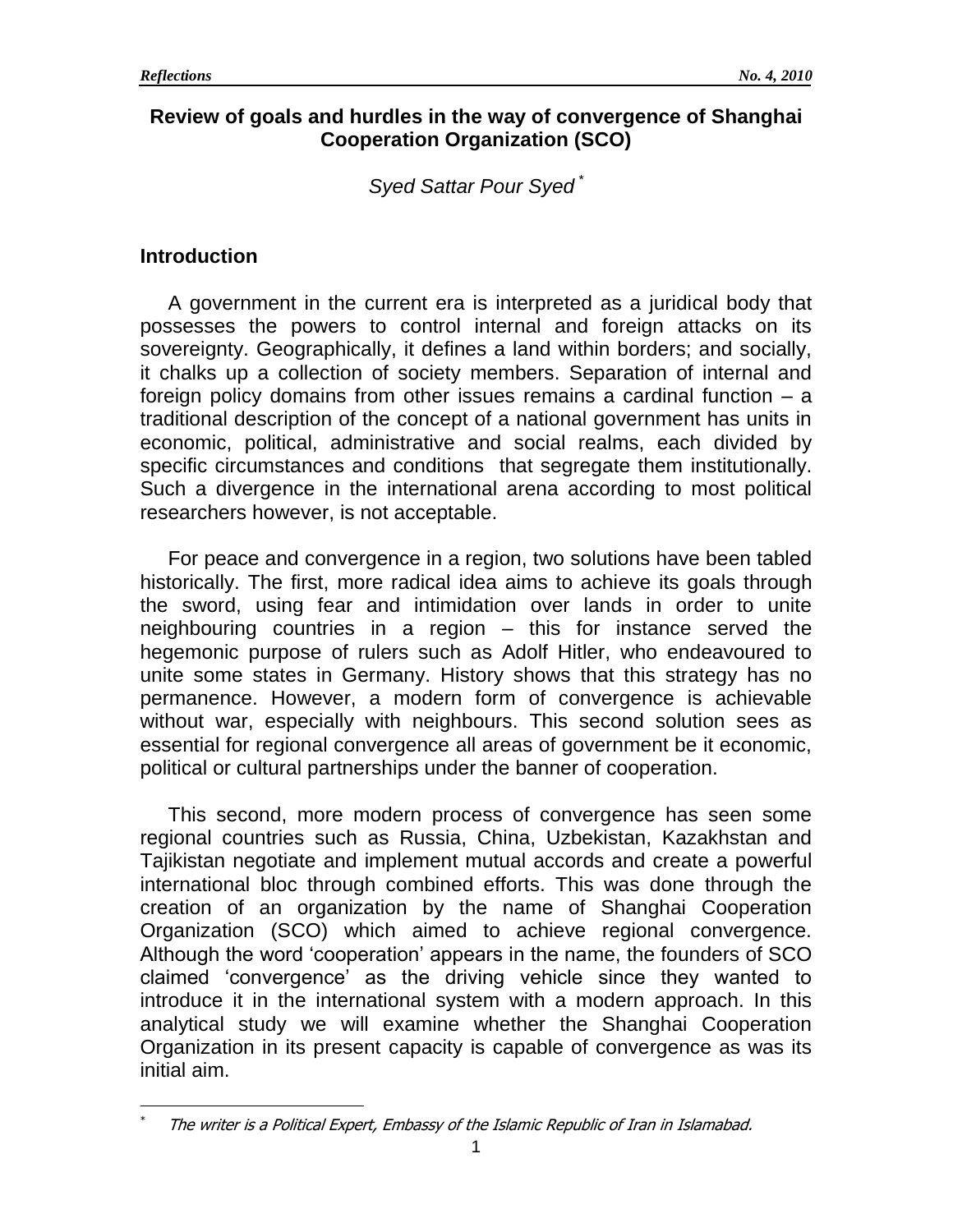## **Review of goals and hurdles in the way of convergence of Shanghai Cooperation Organization (SCO)**

*Syed Sattar Pour Syed \**

## **Introduction**

 $\overline{a}$ 

A government in the current era is interpreted as a juridical body that possesses the powers to control internal and foreign attacks on its sovereignty. Geographically, it defines a land within borders; and socially, it chalks up a collection of society members. Separation of internal and foreign policy domains from other issues remains a cardinal function – a traditional description of the concept of a national government has units in economic, political, administrative and social realms, each divided by specific circumstances and conditions that segregate them institutionally. Such a divergence in the international arena according to most political researchers however, is not acceptable.

For peace and convergence in a region, two solutions have been tabled historically. The first, more radical idea aims to achieve its goals through the sword, using fear and intimidation over lands in order to unite neighbouring countries in a region – this for instance served the hegemonic purpose of rulers such as Adolf Hitler, who endeavoured to unite some states in Germany. History shows that this strategy has no permanence. However, a modern form of convergence is achievable without war, especially with neighbours. This second solution sees as essential for regional convergence all areas of government be it economic, political or cultural partnerships under the banner of cooperation.

This second, more modern process of convergence has seen some regional countries such as Russia, China, Uzbekistan, Kazakhstan and Tajikistan negotiate and implement mutual accords and create a powerful international bloc through combined efforts. This was done through the creation of an organization by the name of Shanghai Cooperation Organization (SCO) which aimed to achieve regional convergence. Although the word 'cooperation' appears in the name, the founders of SCO claimed 'convergence' as the driving vehicle since they wanted to introduce it in the international system with a modern approach. In this analytical study we will examine whether the Shanghai Cooperation Organization in its present capacity is capable of convergence as was its initial aim.

<sup>\*</sup> The writer is a Political Expert, Embassy of the Islamic Republic of Iran in Islamabad.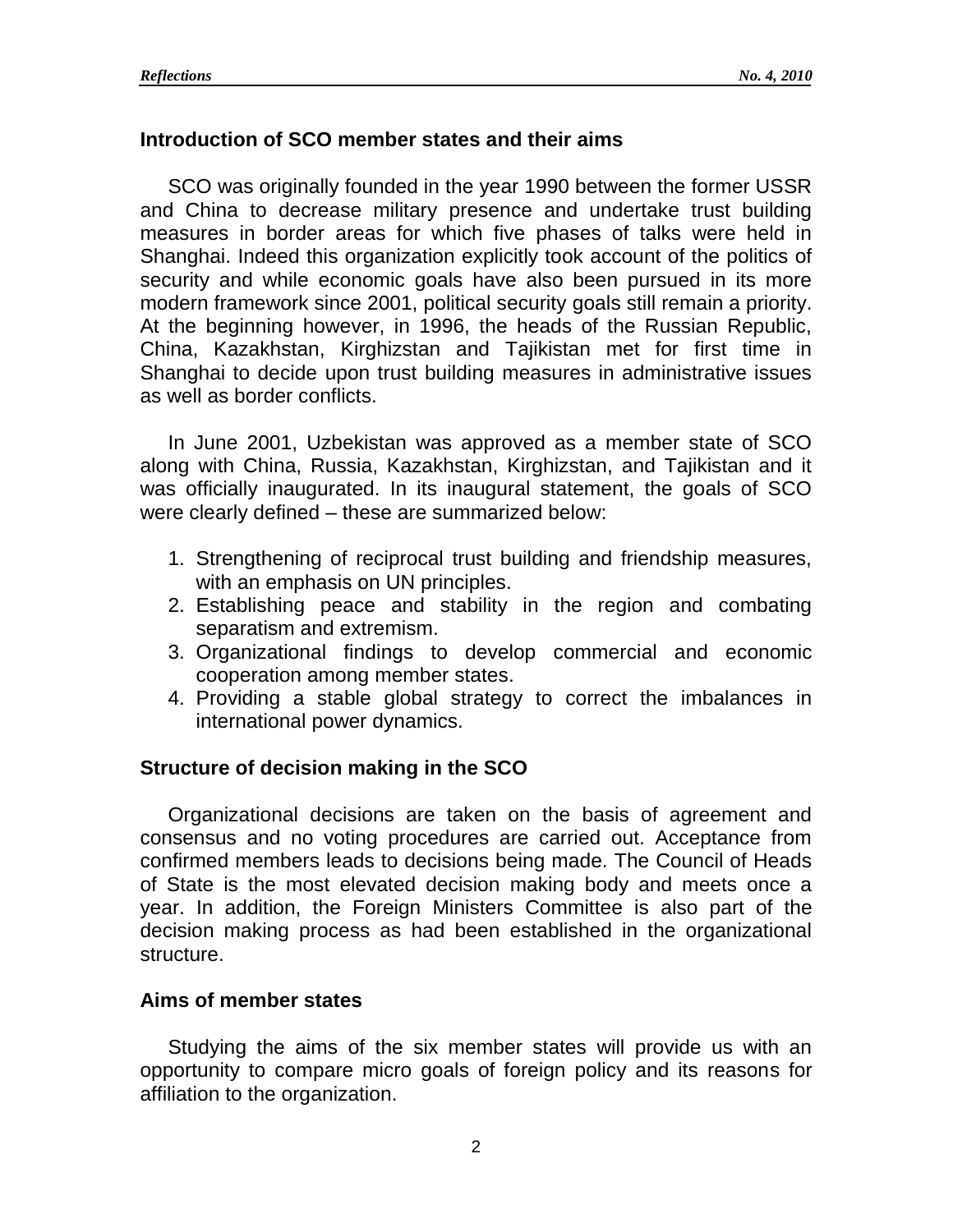## **Introduction of SCO member states and their aims**

SCO was originally founded in the year 1990 between the former USSR and China to decrease military presence and undertake trust building measures in border areas for which five phases of talks were held in Shanghai. Indeed this organization explicitly took account of the politics of security and while economic goals have also been pursued in its more modern framework since 2001, political security goals still remain a priority. At the beginning however, in 1996, the heads of the Russian Republic, China, Kazakhstan, Kirghizstan and Tajikistan met for first time in Shanghai to decide upon trust building measures in administrative issues as well as border conflicts.

In June 2001, Uzbekistan was approved as a member state of SCO along with China, Russia, Kazakhstan, Kirghizstan, and Tajikistan and it was officially inaugurated. In its inaugural statement, the goals of SCO were clearly defined – these are summarized below:

- 1. Strengthening of reciprocal trust building and friendship measures, with an emphasis on UN principles.
- 2. Establishing peace and stability in the region and combating separatism and extremism.
- 3. Organizational findings to develop commercial and economic cooperation among member states.
- 4. Providing a stable global strategy to correct the imbalances in international power dynamics.

# **Structure of decision making in the SCO**

Organizational decisions are taken on the basis of agreement and consensus and no voting procedures are carried out. Acceptance from confirmed members leads to decisions being made. The Council of Heads of State is the most elevated decision making body and meets once a year. In addition, the Foreign Ministers Committee is also part of the decision making process as had been established in the organizational structure.

## **Aims of member states**

Studying the aims of the six member states will provide us with an opportunity to compare micro goals of foreign policy and its reasons for affiliation to the organization.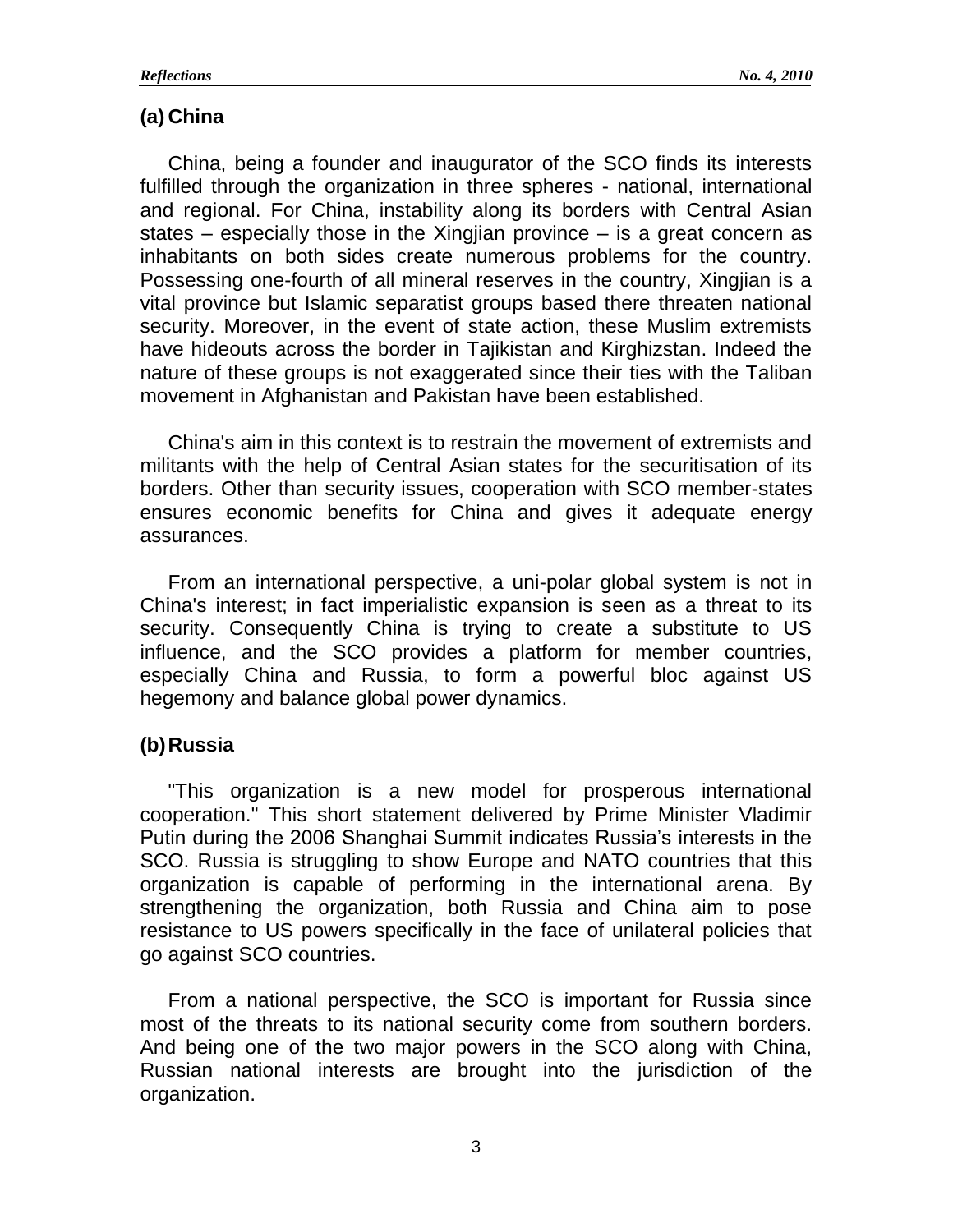## **(a) China**

China, being a founder and inaugurator of the SCO finds its interests fulfilled through the organization in three spheres - national, international and regional. For China, instability along its borders with Central Asian states – especially those in the Xingjian province – is a great concern as inhabitants on both sides create numerous problems for the country. Possessing one-fourth of all mineral reserves in the country, Xingjian is a vital province but Islamic separatist groups based there threaten national security. Moreover, in the event of state action, these Muslim extremists have hideouts across the border in Tajikistan and Kirghizstan. Indeed the nature of these groups is not exaggerated since their ties with the Taliban movement in Afghanistan and Pakistan have been established.

China's aim in this context is to restrain the movement of extremists and militants with the help of Central Asian states for the securitisation of its borders. Other than security issues, cooperation with SCO member-states ensures economic benefits for China and gives it adequate energy assurances.

From an international perspective, a uni-polar global system is not in China's interest; in fact imperialistic expansion is seen as a threat to its security. Consequently China is trying to create a substitute to US influence, and the SCO provides a platform for member countries, especially China and Russia, to form a powerful bloc against US hegemony and balance global power dynamics.

#### **(b)Russia**

"This organization is a new model for prosperous international cooperation." This short statement delivered by Prime Minister Vladimir Putin during the 2006 Shanghai Summit indicates Russia's interests in the SCO. Russia is struggling to show Europe and NATO countries that this organization is capable of performing in the international arena. By strengthening the organization, both Russia and China aim to pose resistance to US powers specifically in the face of unilateral policies that go against SCO countries.

From a national perspective, the SCO is important for Russia since most of the threats to its national security come from southern borders. And being one of the two major powers in the SCO along with China, Russian national interests are brought into the jurisdiction of the organization.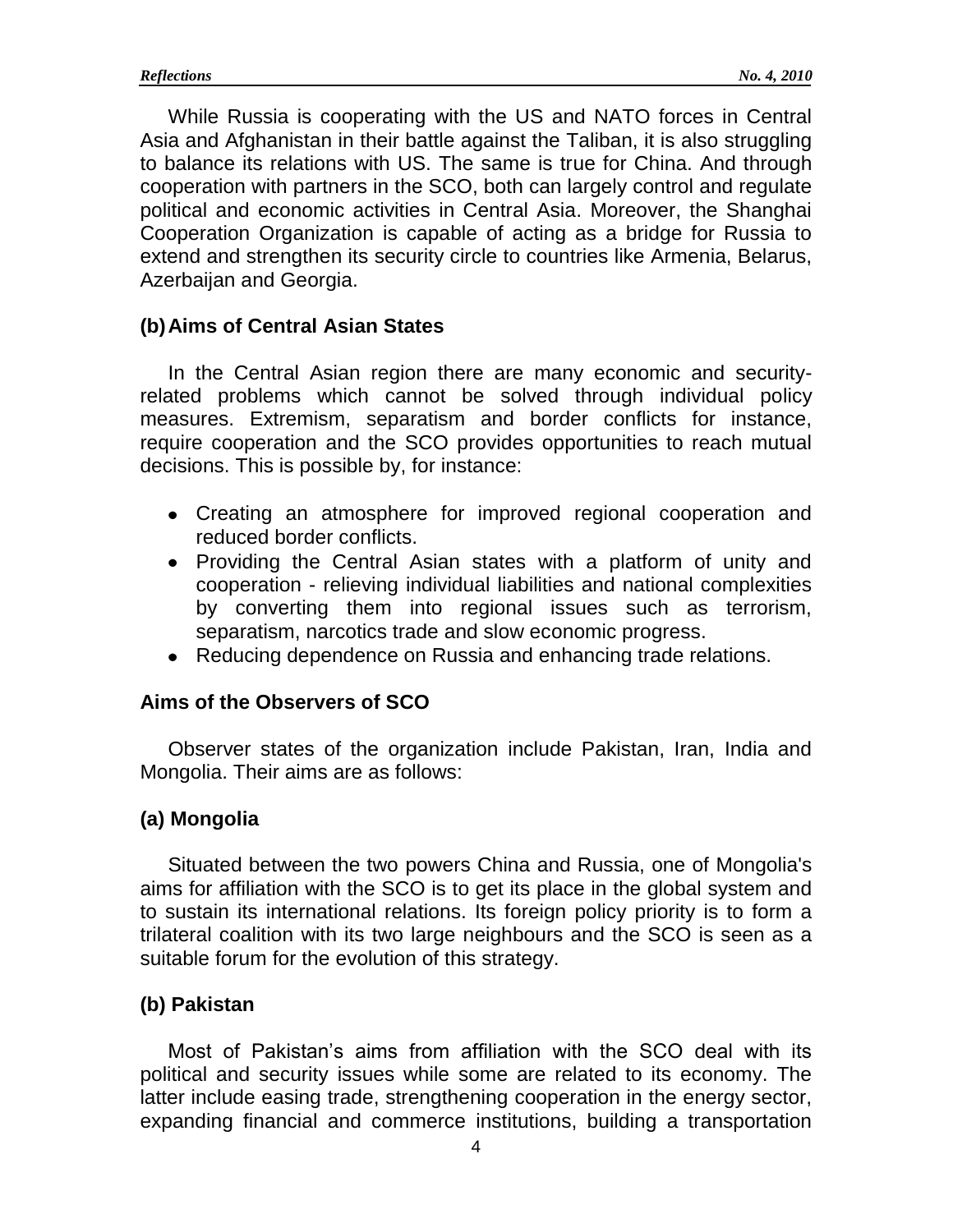While Russia is cooperating with the US and NATO forces in Central Asia and Afghanistan in their battle against the Taliban, it is also struggling to balance its relations with US. The same is true for China. And through cooperation with partners in the SCO, both can largely control and regulate political and economic activities in Central Asia. Moreover, the Shanghai Cooperation Organization is capable of acting as a bridge for Russia to extend and strengthen its security circle to countries like Armenia, Belarus, Azerbaijan and Georgia.

### **(b)Aims of Central Asian States**

In the Central Asian region there are many economic and securityrelated problems which cannot be solved through individual policy measures. Extremism, separatism and border conflicts for instance, require cooperation and the SCO provides opportunities to reach mutual decisions. This is possible by, for instance:

- Creating an atmosphere for improved regional cooperation and reduced border conflicts.
- Providing the Central Asian states with a platform of unity and cooperation - relieving individual liabilities and national complexities by converting them into regional issues such as terrorism, separatism, narcotics trade and slow economic progress.
- Reducing dependence on Russia and enhancing trade relations.

#### **Aims of the Observers of SCO**

Observer states of the organization include Pakistan, Iran, India and Mongolia. Their aims are as follows:

## **(a) Mongolia**

Situated between the two powers China and Russia, one of Mongolia's aims for affiliation with the SCO is to get its place in the global system and to sustain its international relations. Its foreign policy priority is to form a trilateral coalition with its two large neighbours and the SCO is seen as a suitable forum for the evolution of this strategy.

## **(b) Pakistan**

Most of Pakistan's aims from affiliation with the SCO deal with its political and security issues while some are related to its economy. The latter include easing trade, strengthening cooperation in the energy sector, expanding financial and commerce institutions, building a transportation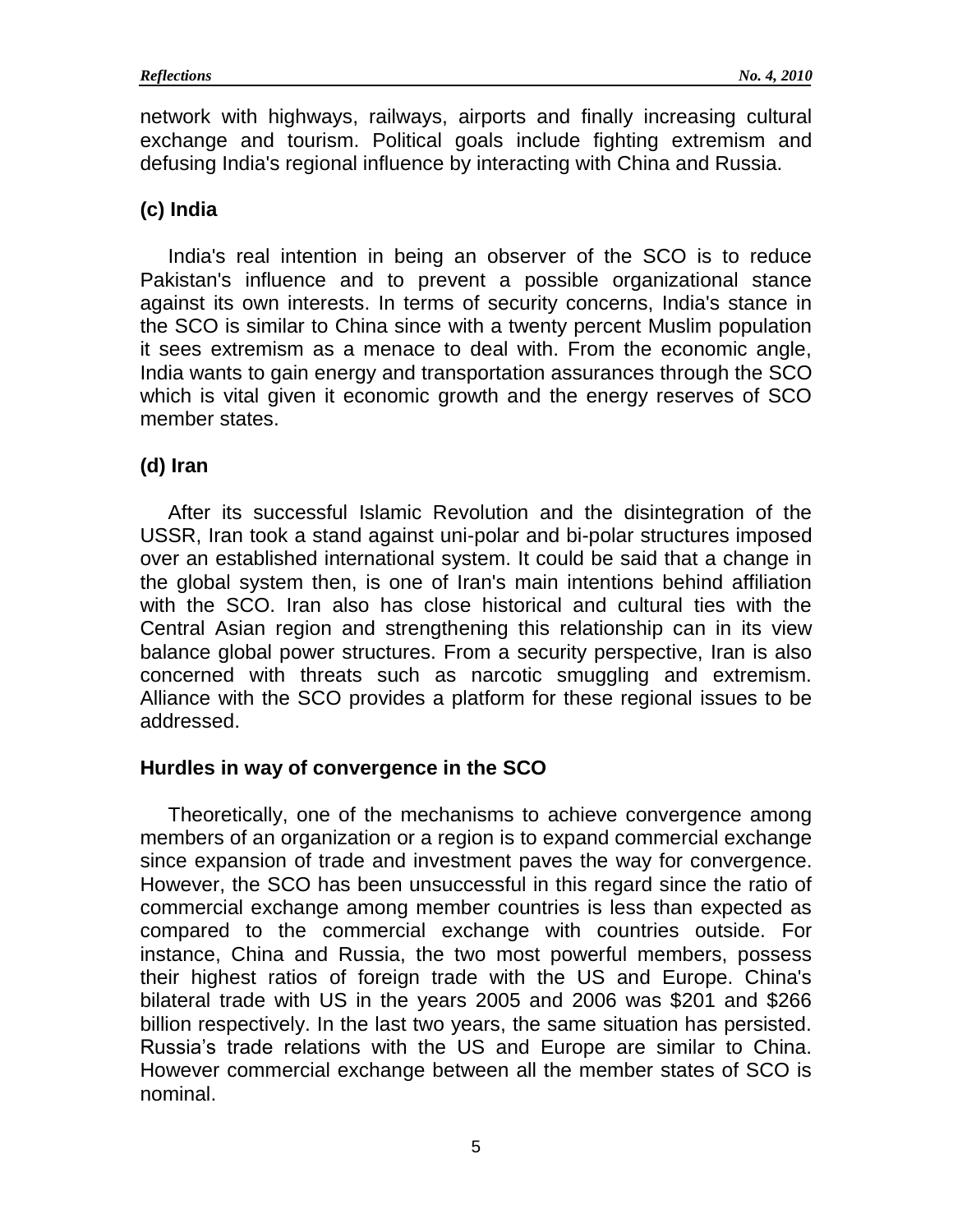network with highways, railways, airports and finally increasing cultural exchange and tourism. Political goals include fighting extremism and defusing India's regional influence by interacting with China and Russia.

# **(c) India**

India's real intention in being an observer of the SCO is to reduce Pakistan's influence and to prevent a possible organizational stance against its own interests. In terms of security concerns, India's stance in the SCO is similar to China since with a twenty percent Muslim population it sees extremism as a menace to deal with. From the economic angle, India wants to gain energy and transportation assurances through the SCO which is vital given it economic growth and the energy reserves of SCO member states.

# **(d) Iran**

After its successful Islamic Revolution and the disintegration of the USSR, Iran took a stand against uni-polar and bi-polar structures imposed over an established international system. It could be said that a change in the global system then, is one of Iran's main intentions behind affiliation with the SCO. Iran also has close historical and cultural ties with the Central Asian region and strengthening this relationship can in its view balance global power structures. From a security perspective, Iran is also concerned with threats such as narcotic smuggling and extremism. Alliance with the SCO provides a platform for these regional issues to be addressed.

# **Hurdles in way of convergence in the SCO**

Theoretically, one of the mechanisms to achieve convergence among members of an organization or a region is to expand commercial exchange since expansion of trade and investment paves the way for convergence. However, the SCO has been unsuccessful in this regard since the ratio of commercial exchange among member countries is less than expected as compared to the commercial exchange with countries outside. For instance, China and Russia, the two most powerful members, possess their highest ratios of foreign trade with the US and Europe. China's bilateral trade with US in the years 2005 and 2006 was \$201 and \$266 billion respectively. In the last two years, the same situation has persisted. Russia's trade relations with the US and Europe are similar to China. However commercial exchange between all the member states of SCO is nominal.